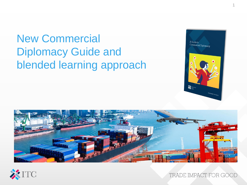# New Commercial Diplomacy Guide and blended learning approach





TRADE IMPACT FOR GOOD

A Guide to Commercial Diplomacy

 $\sum_{i=1}^{n} \frac{b_{i}}{b_{i}} \frac{b_{i}}{b_{i}}$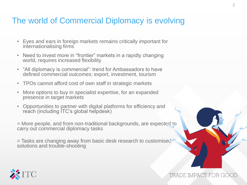### The world of Commercial Diplomacy is evolving

- Eyes and ears in foreign markets remains critically important for internationalising firms
- Need to invest more in "frontier" markets in a rapidly changing world, requires increased flexibility
- "All diplomacy is commercial": trend for Ambassadors to have defined commercial outcomes: export, investment, tourism
- TPOs cannot afford cost of own staff in strategic markets
- More options to buy in specialist expertise, for an expanded presence in target markets
- Opportunities to partner with digital platforms for efficiency and reach (including ITC's global helpdesk)

= More people, and from non-traditional backgrounds, are expected to carry out commercial diplomacy tasks

= Tasks are changing away from basic desk research to customised solutions and trouble-shooting



TRADE IMPACT FOR GOO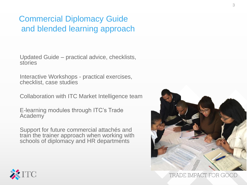## Commercial Diplomacy Guide and blended learning approach

Updated Guide – practical advice, checklists, stories

Interactive Workshops - practical exercises, checklist, case studies

Collaboration with ITC Market Intelligence team

E-learning modules through ITC's Trade Academy

Support for future commercial attachés and train the trainer approach when working with schools of diplomacy and HR departments





TRADE IMPACT FOR GOOD